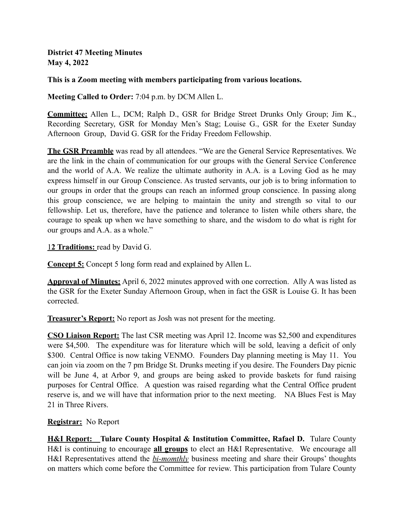**District 47 Meeting Minutes May 4, 2022**

#### **This is a Zoom meeting with members participating from various locations.**

**Meeting Called to Order:** 7:04 p.m. by DCM Allen L.

**Committee:** Allen L., DCM; Ralph D., GSR for Bridge Street Drunks Only Group; Jim K., Recording Secretary, GSR for Monday Men's Stag; Louise G., GSR for the Exeter Sunday Afternoon Group, David G. GSR for the Friday Freedom Fellowship.

**The GSR Preamble** was read by all attendees. "We are the General Service Representatives. We are the link in the chain of communication for our groups with the General Service Conference and the world of A.A. We realize the ultimate authority in A.A. is a Loving God as he may express himself in our Group Conscience. As trusted servants, our job is to bring information to our groups in order that the groups can reach an informed group conscience. In passing along this group conscience, we are helping to maintain the unity and strength so vital to our fellowship. Let us, therefore, have the patience and tolerance to listen while others share, the courage to speak up when we have something to share, and the wisdom to do what is right for our groups and A.A. as a whole."

1**2 Traditions:** read by David G.

**Concept 5:** Concept 5 long form read and explained by Allen L.

**Approval of Minutes:** April 6, 2022 minutes approved with one correction. Ally A was listed as the GSR for the Exeter Sunday Afternoon Group, when in fact the GSR is Louise G. It has been corrected.

**Treasurer's Report:** No report as Josh was not present for the meeting.

**CSO Liaison Report:** The last CSR meeting was April 12. Income was \$2,500 and expenditures were \$4,500. The expenditure was for literature which will be sold, leaving a deficit of only \$300. Central Office is now taking VENMO. Founders Day planning meeting is May 11. You can join via zoom on the 7 pm Bridge St. Drunks meeting if you desire. The Founders Day picnic will be June 4, at Arbor 9, and groups are being asked to provide baskets for fund raising purposes for Central Office. A question was raised regarding what the Central Office prudent reserve is, and we will have that information prior to the next meeting. NA Blues Fest is May 21 in Three Rivers.

#### **Registrar:** No Report

**H&I Report:** Tulare County Hospital & Institution Committee, Rafael D. Tulare County H&I is continuing to encourage **all groups** to elect an H&I Representative. We encourage all H&I Representatives attend the *bi-momthly* business meeting and share their Groups' thoughts on matters which come before the Committee for review. This participation from Tulare County